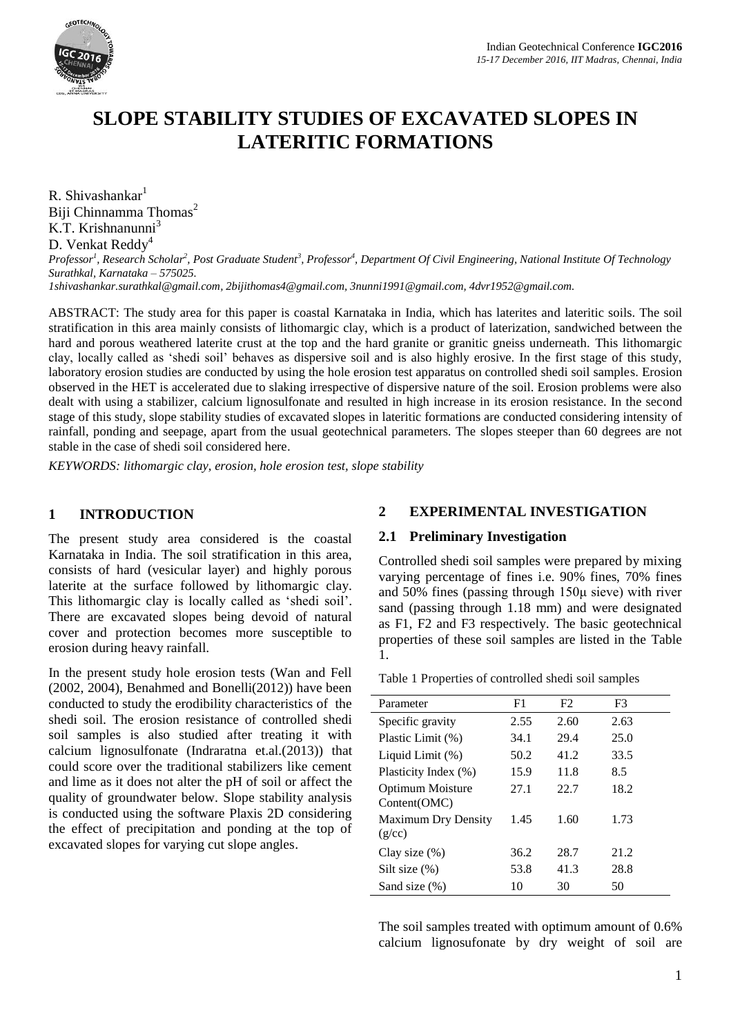

# **SLOPE STABILITY STUDIES OF EXCAVATED SLOPES IN LATERITIC FORMATIONS**

R. Shivashankar<sup>1</sup> Biji Chinnamma Thomas<sup>2</sup> K.T. Krishnanunni<sup>3</sup> D. Venkat Reddy<sup>4</sup> *Professor<sup>1</sup> , Research Scholar<sup>2</sup> , Post Graduate Student<sup>3</sup> , Professor<sup>4</sup> , Department Of Civil Engineering, National Institute Of Technology Surathkal, Karnataka – 575025. 1shivashankar.surathkal@gmail.com, 2bijithomas4@gmail.com, 3nunni1991@gmail.com, 4dvr1952@gmail.com.* 

ABSTRACT: The study area for this paper is coastal Karnataka in India, which has laterites and lateritic soils. The soil stratification in this area mainly consists of lithomargic clay, which is a product of laterization, sandwiched between the hard and porous weathered laterite crust at the top and the hard granite or granitic gneiss underneath. This lithomargic clay, locally called as 'shedi soil' behaves as dispersive soil and is also highly erosive. In the first stage of this study, laboratory erosion studies are conducted by using the hole erosion test apparatus on controlled shedi soil samples. Erosion observed in the HET is accelerated due to slaking irrespective of dispersive nature of the soil. Erosion problems were also dealt with using a stabilizer, calcium lignosulfonate and resulted in high increase in its erosion resistance. In the second stage of this study, slope stability studies of excavated slopes in lateritic formations are conducted considering intensity of rainfall, ponding and seepage, apart from the usual geotechnical parameters. The slopes steeper than 60 degrees are not stable in the case of shedi soil considered here.

*KEYWORDS: lithomargic clay, erosion, hole erosion test, slope stability*

#### **1 INTRODUCTION**

The present study area considered is the coastal Karnataka in India. The soil stratification in this area, consists of hard (vesicular layer) and highly porous laterite at the surface followed by lithomargic clay. This lithomargic clay is locally called as 'shedi soil'. There are excavated slopes being devoid of natural cover and protection becomes more susceptible to erosion during heavy rainfall.

In the present study hole erosion tests (Wan and Fell (2002, 2004), Benahmed and Bonelli(2012)) have been conducted to study the erodibility characteristics of the shedi soil. The erosion resistance of controlled shedi soil samples is also studied after treating it with calcium lignosulfonate (Indraratna et.al.(2013)) that could score over the traditional stabilizers like cement and lime as it does not alter the pH of soil or affect the quality of groundwater below. Slope stability analysis is conducted using the software Plaxis 2D considering the effect of precipitation and ponding at the top of excavated slopes for varying cut slope angles.

#### **2 EXPERIMENTAL INVESTIGATION**

#### **2.1 Preliminary Investigation**

Controlled shedi soil samples were prepared by mixing varying percentage of fines i.e. 90% fines, 70% fines and 50% fines (passing through 150μ sieve) with river sand (passing through 1.18 mm) and were designated as F1, F2 and F3 respectively. The basic geotechnical properties of these soil samples are listed in the Table 1.

Table 1 Properties of controlled shedi soil samples

| Parameter                  | F1   | F2   | F3    |  |
|----------------------------|------|------|-------|--|
| Specific gravity           | 2.55 | 2.60 | 2.63  |  |
| Plastic Limit (%)          | 34.1 | 29.4 | 25.0  |  |
| Liquid Limit (%)           | 50.2 | 41.2 | 33.5  |  |
| Plasticity Index (%)       | 15.9 | 11.8 | 8.5   |  |
| <b>Optimum Moisture</b>    | 27.1 | 22.7 | 18.2  |  |
| Content(OMC)               |      |      |       |  |
| <b>Maximum Dry Density</b> | 1.45 | 1.60 | 1.73  |  |
| (g/cc)                     |      |      |       |  |
| Clay size $(\%)$           | 36.2 | 28.7 | 21.2. |  |
| Silt size $(\%)$           | 53.8 | 41.3 | 28.8  |  |
| Sand size $(\% )$          | 10   | 30   | 50    |  |

The soil samples treated with optimum amount of 0.6% calcium lignosufonate by dry weight of soil are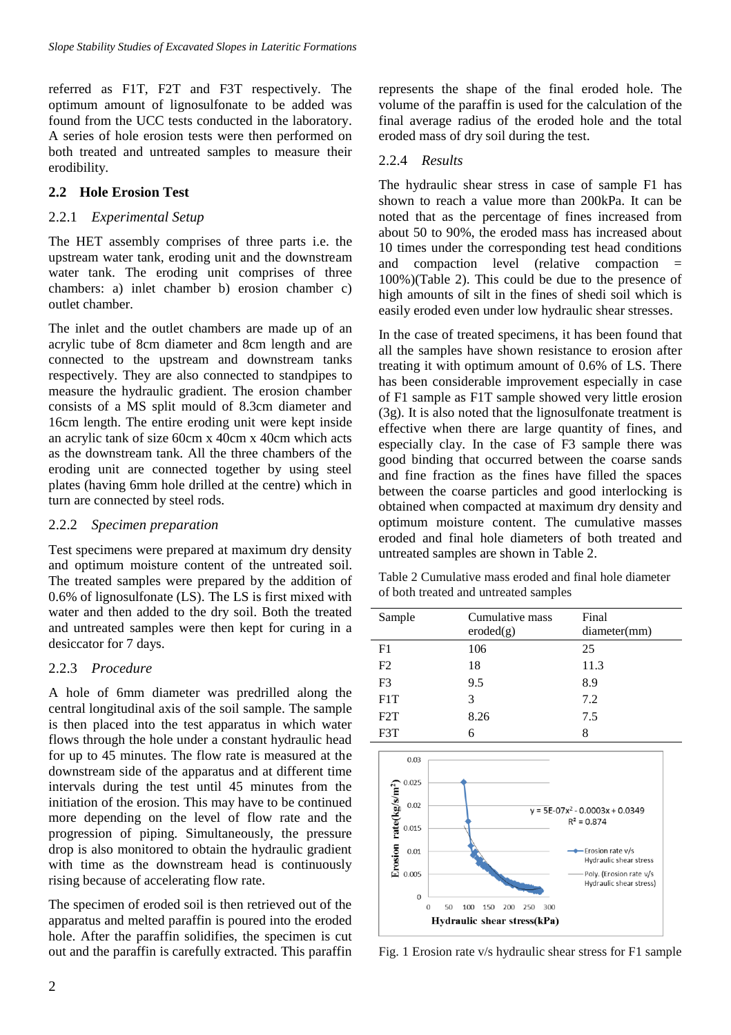referred as F1T, F2T and F3T respectively. The optimum amount of lignosulfonate to be added was found from the UCC tests conducted in the laboratory. A series of hole erosion tests were then performed on both treated and untreated samples to measure their erodibility.

### **2.2 Hole Erosion Test**

### 2.2.1 *Experimental Setup*

The HET assembly comprises of three parts i.e. the upstream water tank, eroding unit and the downstream water tank. The eroding unit comprises of three chambers: a) inlet chamber b) erosion chamber c) outlet chamber.

The inlet and the outlet chambers are made up of an acrylic tube of 8cm diameter and 8cm length and are connected to the upstream and downstream tanks respectively. They are also connected to standpipes to measure the hydraulic gradient. The erosion chamber consists of a MS split mould of 8.3cm diameter and 16cm length. The entire eroding unit were kept inside an acrylic tank of size 60cm x 40cm x 40cm which acts as the downstream tank. All the three chambers of the eroding unit are connected together by using steel plates (having 6mm hole drilled at the centre) which in turn are connected by steel rods.

#### 2.2.2 *Specimen preparation*

Test specimens were prepared at maximum dry density and optimum moisture content of the untreated soil. The treated samples were prepared by the addition of 0.6% of lignosulfonate (LS). The LS is first mixed with water and then added to the dry soil. Both the treated and untreated samples were then kept for curing in a desiccator for 7 days.

#### 2.2.3 *Procedure*

A hole of 6mm diameter was predrilled along the central longitudinal axis of the soil sample. The sample is then placed into the test apparatus in which water flows through the hole under a constant hydraulic head for up to 45 minutes. The flow rate is measured at the downstream side of the apparatus and at different time intervals during the test until 45 minutes from the initiation of the erosion. This may have to be continued more depending on the level of flow rate and the progression of piping. Simultaneously, the pressure drop is also monitored to obtain the hydraulic gradient with time as the downstream head is continuously rising because of accelerating flow rate.

The specimen of eroded soil is then retrieved out of the apparatus and melted paraffin is poured into the eroded hole. After the paraffin solidifies, the specimen is cut out and the paraffin is carefully extracted. This paraffin

represents the shape of the final eroded hole. The volume of the paraffin is used for the calculation of the final average radius of the eroded hole and the total eroded mass of dry soil during the test.

### 2.2.4 *Results*

The hydraulic shear stress in case of sample F1 has shown to reach a value more than 200kPa. It can be noted that as the percentage of fines increased from about 50 to 90%, the eroded mass has increased about 10 times under the corresponding test head conditions and compaction level (relative compaction = 100%)(Table 2). This could be due to the presence of high amounts of silt in the fines of shedi soil which is easily eroded even under low hydraulic shear stresses.

In the case of treated specimens, it has been found that all the samples have shown resistance to erosion after treating it with optimum amount of 0.6% of LS. There has been considerable improvement especially in case of F1 sample as F1T sample showed very little erosion (3g). It is also noted that the lignosulfonate treatment is effective when there are large quantity of fines, and especially clay. In the case of F3 sample there was good binding that occurred between the coarse sands and fine fraction as the fines have filled the spaces between the coarse particles and good interlocking is obtained when compacted at maximum dry density and optimum moisture content. The cumulative masses eroded and final hole diameters of both treated and untreated samples are shown in Table 2.

Table 2 Cumulative mass eroded and final hole diameter of both treated and untreated samples

| Sample         | Cumulative mass | Final        |
|----------------|-----------------|--------------|
|                | eroded(g)       | diameter(mm) |
| F1             | 106             | 25           |
| F <sub>2</sub> | 18              | 11.3         |
| F3             | 9.5             | 8.9          |
| F1T            | 3               | 7.2          |
| F2T            | 8.26            | 7.5          |
| F3T            |                 | 8            |



Fig. 1 Erosion rate v/s hydraulic shear stress for F1 sample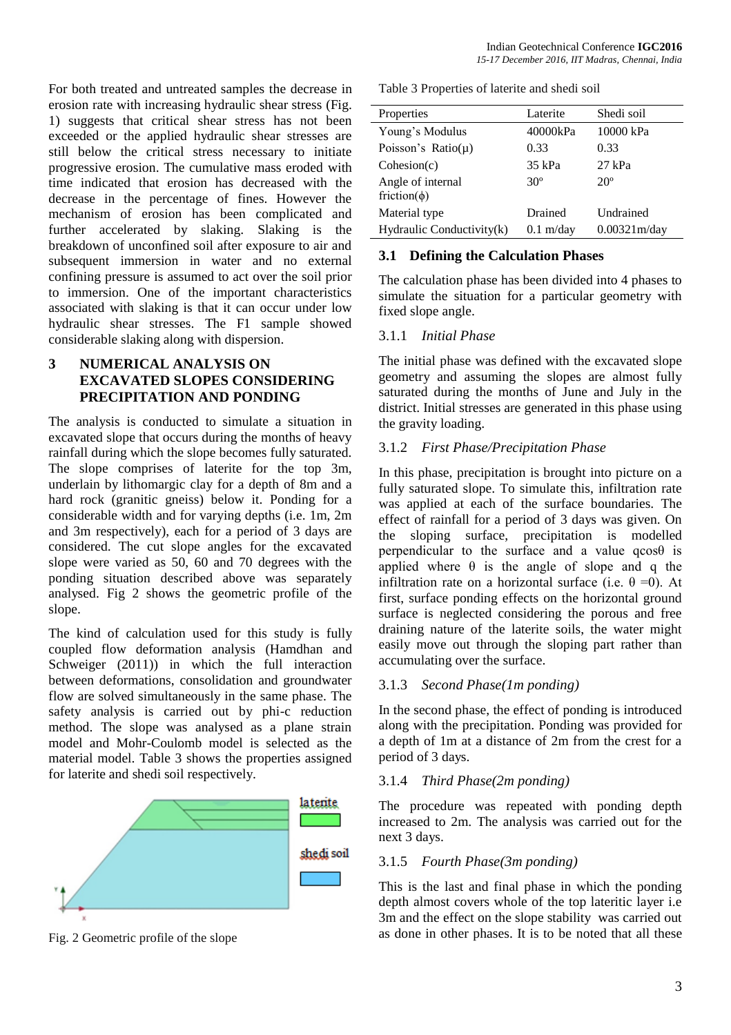For both treated and untreated samples the decrease in erosion rate with increasing hydraulic shear stress (Fig. 1) suggests that critical shear stress has not been exceeded or the applied hydraulic shear stresses are still below the critical stress necessary to initiate progressive erosion. The cumulative mass eroded with time indicated that erosion has decreased with the decrease in the percentage of fines. However the mechanism of erosion has been complicated and further accelerated by slaking. Slaking is the breakdown of unconfined soil after exposure to air and subsequent immersion in water and no external confining pressure is assumed to act over the soil prior to immersion. One of the important characteristics associated with slaking is that it can occur under low hydraulic shear stresses. The F1 sample showed considerable slaking along with dispersion.

### **3 NUMERICAL ANALYSIS ON EXCAVATED SLOPES CONSIDERING PRECIPITATION AND PONDING**

The analysis is conducted to simulate a situation in excavated slope that occurs during the months of heavy rainfall during which the slope becomes fully saturated. The slope comprises of laterite for the top 3m, underlain by lithomargic clay for a depth of 8m and a hard rock (granitic gneiss) below it. Ponding for a considerable width and for varying depths (i.e. 1m, 2m and 3m respectively), each for a period of 3 days are considered. The cut slope angles for the excavated slope were varied as 50, 60 and 70 degrees with the ponding situation described above was separately analysed. Fig 2 shows the geometric profile of the slope.

The kind of calculation used for this study is fully coupled flow deformation analysis (Hamdhan and Schweiger (2011)) in which the full interaction between deformations, consolidation and groundwater flow are solved simultaneously in the same phase. The safety analysis is carried out by phi-c reduction method. The slope was analysed as a plane strain model and Mohr-Coulomb model is selected as the material model. Table 3 shows the properties assigned for laterite and shedi soil respectively.



Fig. 2 Geometric profile of the slope

Table 3 Properties of laterite and shedi soil

| Properties                              | Laterite            | Shedi soil       |
|-----------------------------------------|---------------------|------------------|
| Young's Modulus                         | 40000kPa            | 10000 kPa        |
| Poisson's Ratio( $\mu$ )                | 0.33                | 0.33             |
| Cohesion(c)                             | 35 kPa              | $27$ kPa         |
| Angle of internal<br>friction( $\phi$ ) | $30^\circ$          | $20^{\circ}$     |
| Material type                           | Drained             | <b>Undrained</b> |
| Hydraulic Conductivity(k)               | $0.1 \text{ m/day}$ | $0.00321$ m/day  |
|                                         |                     |                  |

### **3.1 Defining the Calculation Phases**

The calculation phase has been divided into 4 phases to simulate the situation for a particular geometry with fixed slope angle.

### 3.1.1 *Initial Phase*

The initial phase was defined with the excavated slope geometry and assuming the slopes are almost fully saturated during the months of June and July in the district. Initial stresses are generated in this phase using the gravity loading.

# 3.1.2 *First Phase/Precipitation Phase*

In this phase, precipitation is brought into picture on a fully saturated slope. To simulate this, infiltration rate was applied at each of the surface boundaries. The effect of rainfall for a period of 3 days was given. On the sloping surface, precipitation is modelled perpendicular to the surface and a value qcosθ is applied where  $\theta$  is the angle of slope and q the infiltration rate on a horizontal surface (i.e.  $\theta = 0$ ). At first, surface ponding effects on the horizontal ground surface is neglected considering the porous and free draining nature of the laterite soils, the water might easily move out through the sloping part rather than accumulating over the surface.

# 3.1.3 *Second Phase(1m ponding)*

In the second phase, the effect of ponding is introduced along with the precipitation. Ponding was provided for a depth of 1m at a distance of 2m from the crest for a period of 3 days.

### 3.1.4 *Third Phase(2m ponding)*

The procedure was repeated with ponding depth increased to 2m. The analysis was carried out for the next 3 days.

### 3.1.5 *Fourth Phase(3m ponding)*

This is the last and final phase in which the ponding depth almost covers whole of the top lateritic layer i.e 3m and the effect on the slope stability was carried out as done in other phases. It is to be noted that all these